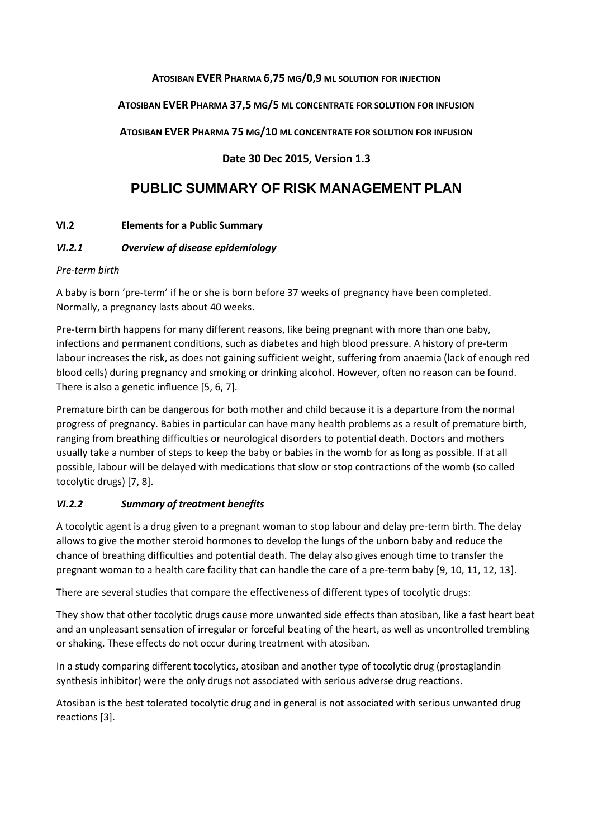#### **ATOSIBAN EVER PHARMA 6,75 MG/0,9 ML SOLUTION FOR INJECTION**

### **ATOSIBAN EVER PHARMA 37,5 MG/5 ML CONCENTRATE FOR SOLUTION FOR INFUSION**

**ATOSIBAN EVER PHARMA 75 MG/10 ML CONCENTRATE FOR SOLUTION FOR INFUSION**

## **Date 30 Dec 2015, Version 1.3**

# **PUBLIC SUMMARY OF RISK MANAGEMENT PLAN**

### **VI.2 Elements for a Public Summary**

### *VI.2.1 Overview of disease epidemiology*

### *Pre-term birth*

A baby is born 'pre-term' if he or she is born before 37 weeks of pregnancy have been completed. Normally, a pregnancy lasts about 40 weeks.

Pre-term birth happens for many different reasons, like being pregnant with more than one baby, infections and permanent conditions, such as diabetes and high blood pressure. A history of pre-term labour increases the risk, as does not gaining sufficient weight, suffering from anaemia (lack of enough red blood cells) during pregnancy and smoking or drinking alcohol. However, often no reason can be found. There is also a genetic influence [\[5,](#page-5-0) [6,](#page-5-1) [7\]](#page-5-2).

Premature birth can be dangerous for both mother and child because it is a departure from the normal progress of pregnancy. Babies in particular can have many health problems as a result of premature birth, ranging from breathing difficulties or neurological disorders to potential death. Doctors and mothers usually take a number of steps to keep the baby or babies in the womb for as long as possible. If at all possible, labour will be delayed with medications that slow or stop contractions of the womb (so called tocolytic drugs) [\[7,](#page-5-2) [8\]](#page-5-3).

# *VI.2.2 Summary of treatment benefits*

A tocolytic agent is a drug given to a pregnant woman to stop labour and delay pre-term birth. The delay allows to give the mother steroid hormones to develop the lungs of the unborn baby and reduce the chance of breathing difficulties and potential death. The delay also gives enough time to transfer the pregnant woman to a health care facility that can handle the care of a pre-term baby [\[9,](#page-5-4) [10,](#page-5-5) [11,](#page-5-6) [12,](#page-5-7) [13\]](#page-5-8).

There are several studies that compare the effectiveness of different types of tocolytic drugs:

They show that other tocolytic drugs cause more unwanted side effects than atosiban, like a fast heart beat and an unpleasant sensation of irregular or forceful beating of the heart, as well as uncontrolled trembling or shaking. These effects do not occur during treatment with atosiban.

In a study comparing different tocolytics, atosiban and another type of tocolytic drug (prostaglandin synthesis inhibitor) were the only drugs not associated with serious adverse drug reactions.

Atosiban is the best tolerated tocolytic drug and in general is not associated with serious unwanted drug reactions [\[3\]](#page-5-9).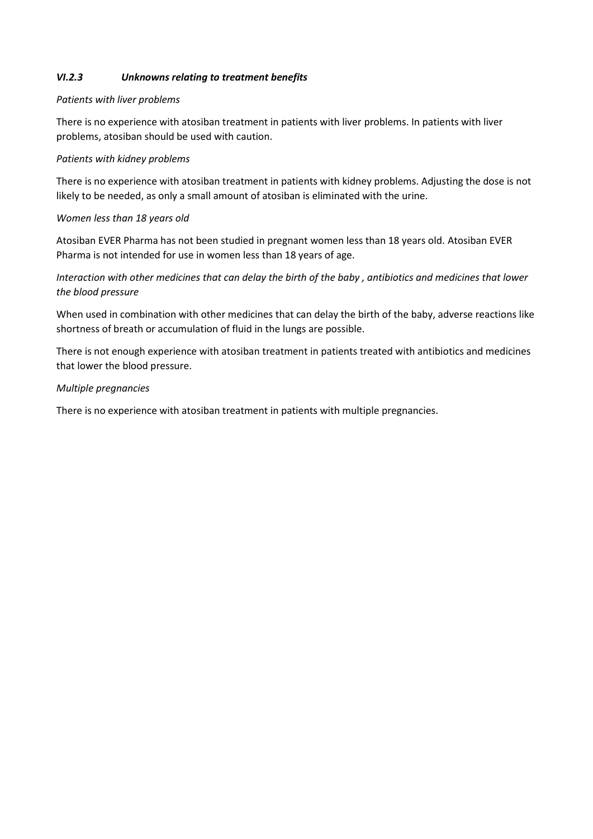### *VI.2.3 Unknowns relating to treatment benefits*

#### *Patients with liver problems*

There is no experience with atosiban treatment in patients with liver problems. In patients with liver problems, atosiban should be used with caution.

#### *Patients with kidney problems*

There is no experience with atosiban treatment in patients with kidney problems. Adjusting the dose is not likely to be needed, as only a small amount of atosiban is eliminated with the urine.

#### *Women less than 18 years old*

Atosiban EVER Pharma has not been studied in pregnant women less than 18 years old. Atosiban EVER Pharma is not intended for use in women less than 18 years of age.

## *Interaction with other medicines that can delay the birth of the baby , antibiotics and medicines that lower the blood pressure*

When used in combination with other medicines that can delay the birth of the baby, adverse reactions like shortness of breath or accumulation of fluid in the lungs are possible.

There is not enough experience with atosiban treatment in patients treated with antibiotics and medicines that lower the blood pressure.

#### *Multiple pregnancies*

There is no experience with atosiban treatment in patients with multiple pregnancies.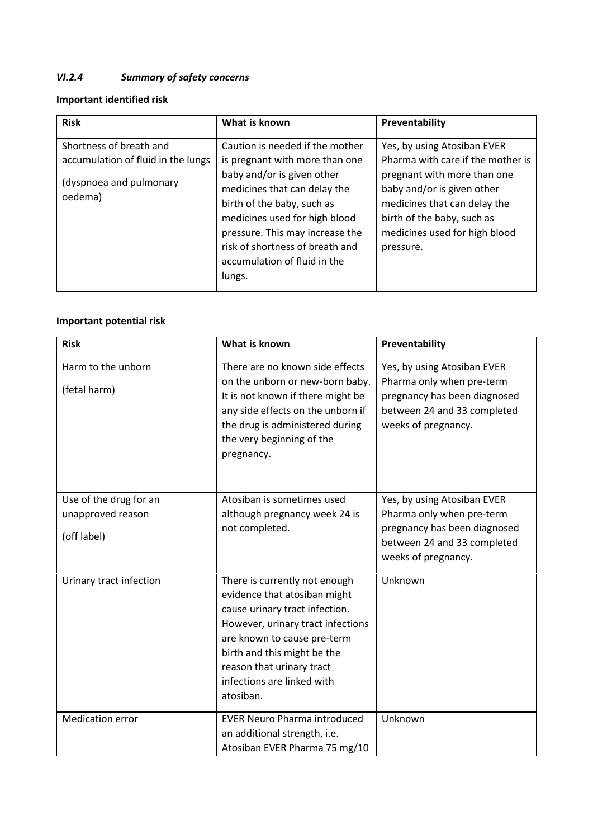# *VI.2.4 Summary of safety concerns*

# **Important identified risk**

| <b>Risk</b>                                                                                         | What is known                                                                                                                                                                                                                                                                                                  | Preventability                                                                                                                                                                                                                            |
|-----------------------------------------------------------------------------------------------------|----------------------------------------------------------------------------------------------------------------------------------------------------------------------------------------------------------------------------------------------------------------------------------------------------------------|-------------------------------------------------------------------------------------------------------------------------------------------------------------------------------------------------------------------------------------------|
| Shortness of breath and<br>accumulation of fluid in the lungs<br>(dyspnoea and pulmonary<br>oedema) | Caution is needed if the mother<br>is pregnant with more than one<br>baby and/or is given other<br>medicines that can delay the<br>birth of the baby, such as<br>medicines used for high blood<br>pressure. This may increase the<br>risk of shortness of breath and<br>accumulation of fluid in the<br>lungs. | Yes, by using Atosiban EVER<br>Pharma with care if the mother is<br>pregnant with more than one<br>baby and/or is given other<br>medicines that can delay the<br>birth of the baby, such as<br>medicines used for high blood<br>pressure. |

# **Important potential risk**

| <b>Risk</b>                                                | What is known                                                                                                                                                                                                                                                              | Preventability                                                                                                                                 |
|------------------------------------------------------------|----------------------------------------------------------------------------------------------------------------------------------------------------------------------------------------------------------------------------------------------------------------------------|------------------------------------------------------------------------------------------------------------------------------------------------|
| Harm to the unborn<br>(fetal harm)                         | There are no known side effects<br>on the unborn or new-born baby.<br>It is not known if there might be<br>any side effects on the unborn if<br>the drug is administered during<br>the very beginning of the<br>pregnancy.                                                 | Yes, by using Atosiban EVER<br>Pharma only when pre-term<br>pregnancy has been diagnosed<br>between 24 and 33 completed<br>weeks of pregnancy. |
| Use of the drug for an<br>unapproved reason<br>(off label) | Atosiban is sometimes used<br>although pregnancy week 24 is<br>not completed.                                                                                                                                                                                              | Yes, by using Atosiban EVER<br>Pharma only when pre-term<br>pregnancy has been diagnosed<br>between 24 and 33 completed<br>weeks of pregnancy. |
| Urinary tract infection                                    | There is currently not enough<br>evidence that atosiban might<br>cause urinary tract infection.<br>However, urinary tract infections<br>are known to cause pre-term<br>birth and this might be the<br>reason that urinary tract<br>infections are linked with<br>atosiban. | Unknown                                                                                                                                        |
| <b>Medication error</b>                                    | <b>EVER Neuro Pharma introduced</b><br>an additional strength, i.e.<br>Atosiban EVER Pharma 75 mg/10                                                                                                                                                                       | Unknown                                                                                                                                        |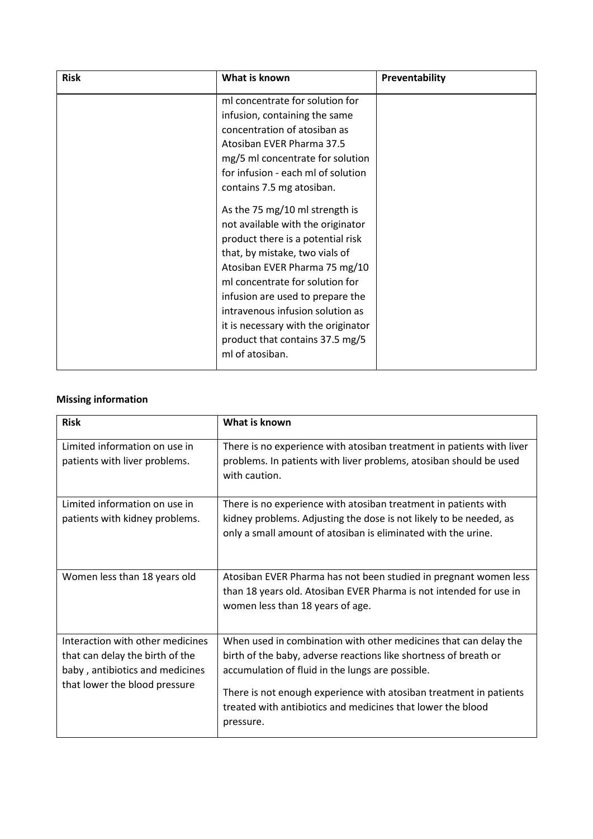| <b>Risk</b> | What is known                       | Preventability |
|-------------|-------------------------------------|----------------|
|             | ml concentrate for solution for     |                |
|             | infusion, containing the same       |                |
|             | concentration of atosiban as        |                |
|             | Atosiban EVER Pharma 37.5           |                |
|             | mg/5 ml concentrate for solution    |                |
|             | for infusion - each ml of solution  |                |
|             | contains 7.5 mg atosiban.           |                |
|             | As the 75 mg/10 ml strength is      |                |
|             | not available with the originator   |                |
|             | product there is a potential risk   |                |
|             | that, by mistake, two vials of      |                |
|             | Atosiban EVER Pharma 75 mg/10       |                |
|             | ml concentrate for solution for     |                |
|             | infusion are used to prepare the    |                |
|             | intravenous infusion solution as    |                |
|             | it is necessary with the originator |                |
|             | product that contains 37.5 mg/5     |                |
|             | ml of atosiban.                     |                |
|             |                                     |                |

# **Missing information**

| <b>Risk</b>                                                                                                                             | What is known                                                                                                                                                                                                                                                                                                                              |
|-----------------------------------------------------------------------------------------------------------------------------------------|--------------------------------------------------------------------------------------------------------------------------------------------------------------------------------------------------------------------------------------------------------------------------------------------------------------------------------------------|
| Limited information on use in<br>patients with liver problems.                                                                          | There is no experience with atosiban treatment in patients with liver<br>problems. In patients with liver problems, atosiban should be used<br>with caution.                                                                                                                                                                               |
| Limited information on use in<br>patients with kidney problems.                                                                         | There is no experience with atosiban treatment in patients with<br>kidney problems. Adjusting the dose is not likely to be needed, as<br>only a small amount of atosiban is eliminated with the urine.                                                                                                                                     |
| Women less than 18 years old                                                                                                            | Atosiban EVER Pharma has not been studied in pregnant women less<br>than 18 years old. Atosiban EVER Pharma is not intended for use in<br>women less than 18 years of age.                                                                                                                                                                 |
| Interaction with other medicines<br>that can delay the birth of the<br>baby, antibiotics and medicines<br>that lower the blood pressure | When used in combination with other medicines that can delay the<br>birth of the baby, adverse reactions like shortness of breath or<br>accumulation of fluid in the lungs are possible.<br>There is not enough experience with atosiban treatment in patients<br>treated with antibiotics and medicines that lower the blood<br>pressure. |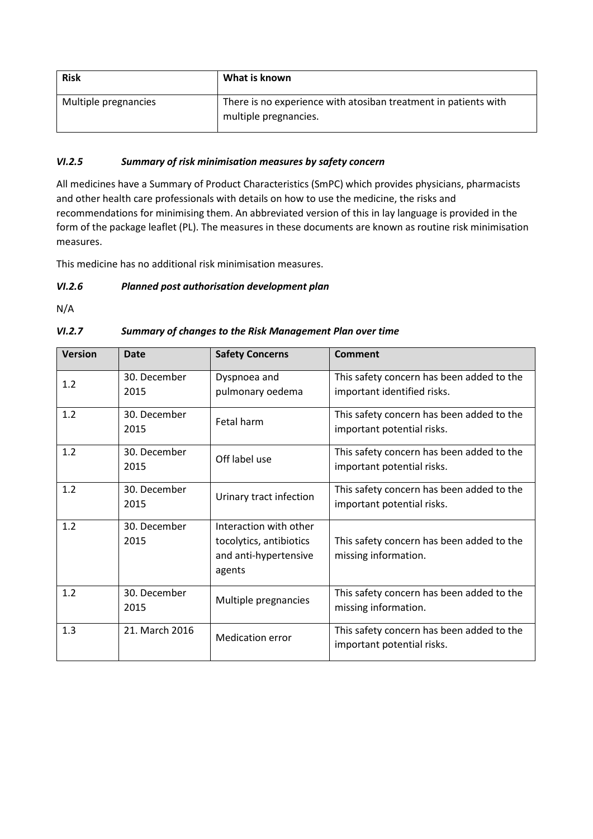| <b>Risk</b>          | What is known                                                                            |
|----------------------|------------------------------------------------------------------------------------------|
| Multiple pregnancies | There is no experience with atosiban treatment in patients with<br>multiple pregnancies. |

### *VI.2.5 Summary of risk minimisation measures by safety concern*

All medicines have a Summary of Product Characteristics (SmPC) which provides physicians, pharmacists and other health care professionals with details on how to use the medicine, the risks and recommendations for minimising them. An abbreviated version of this in lay language is provided in the form of the package leaflet (PL). The measures in these documents are known as routine risk minimisation measures.

This medicine has no additional risk minimisation measures.

### *VI.2.6 Planned post authorisation development plan*

N/A

# *VI.2.7 Summary of changes to the Risk Management Plan over time*

| <b>Version</b> | <b>Date</b>          | <b>Safety Concerns</b>                                                               | <b>Comment</b>                                                           |
|----------------|----------------------|--------------------------------------------------------------------------------------|--------------------------------------------------------------------------|
| 1.2            | 30. December<br>2015 | Dyspnoea and<br>pulmonary oedema                                                     | This safety concern has been added to the<br>important identified risks. |
| 1.2            | 30. December<br>2015 | Fetal harm                                                                           | This safety concern has been added to the<br>important potential risks.  |
| 1.2            | 30. December<br>2015 | Off label use                                                                        | This safety concern has been added to the<br>important potential risks.  |
| 1.2            | 30. December<br>2015 | Urinary tract infection                                                              | This safety concern has been added to the<br>important potential risks.  |
| 1.2            | 30. December<br>2015 | Interaction with other<br>tocolytics, antibiotics<br>and anti-hypertensive<br>agents | This safety concern has been added to the<br>missing information.        |
| 1.2            | 30. December<br>2015 | Multiple pregnancies                                                                 | This safety concern has been added to the<br>missing information.        |
| 1.3            | 21. March 2016       | <b>Medication error</b>                                                              | This safety concern has been added to the<br>important potential risks.  |